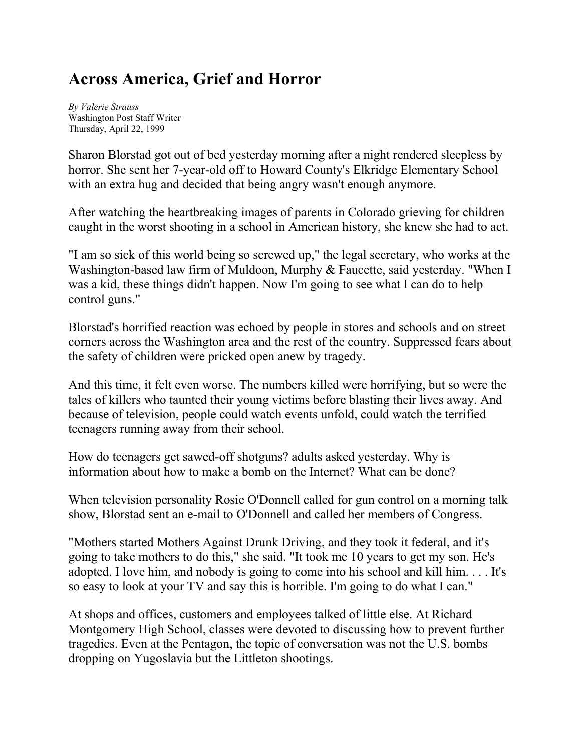## **Across America, Grief and Horror**

*By Valerie Strauss* Washington Post Staff Writer Thursday, April 22, 1999

Sharon Blorstad got out of bed yesterday morning after a night rendered sleepless by horror. She sent her 7-year-old off to Howard County's Elkridge Elementary School with an extra hug and decided that being angry wasn't enough anymore.

After watching the heartbreaking images of parents in Colorado grieving for children caught in the worst shooting in a school in American history, she knew she had to act.

"I am so sick of this world being so screwed up," the legal secretary, who works at the Washington-based law firm of Muldoon, Murphy & Faucette, said yesterday. "When I was a kid, these things didn't happen. Now I'm going to see what I can do to help control guns."

Blorstad's horrified reaction was echoed by people in stores and schools and on street corners across the Washington area and the rest of the country. Suppressed fears about the safety of children were pricked open anew by tragedy.

And this time, it felt even worse. The numbers killed were horrifying, but so were the tales of killers who taunted their young victims before blasting their lives away. And because of television, people could watch events unfold, could watch the terrified teenagers running away from their school.

How do teenagers get sawed-off shotguns? adults asked yesterday. Why is information about how to make a bomb on the Internet? What can be done?

When television personality Rosie O'Donnell called for gun control on a morning talk show, Blorstad sent an e-mail to O'Donnell and called her members of Congress.

"Mothers started Mothers Against Drunk Driving, and they took it federal, and it's going to take mothers to do this," she said. "It took me 10 years to get my son. He's adopted. I love him, and nobody is going to come into his school and kill him. . . . It's so easy to look at your TV and say this is horrible. I'm going to do what I can."

At shops and offices, customers and employees talked of little else. At Richard Montgomery High School, classes were devoted to discussing how to prevent further tragedies. Even at the Pentagon, the topic of conversation was not the U.S. bombs dropping on Yugoslavia but the Littleton shootings.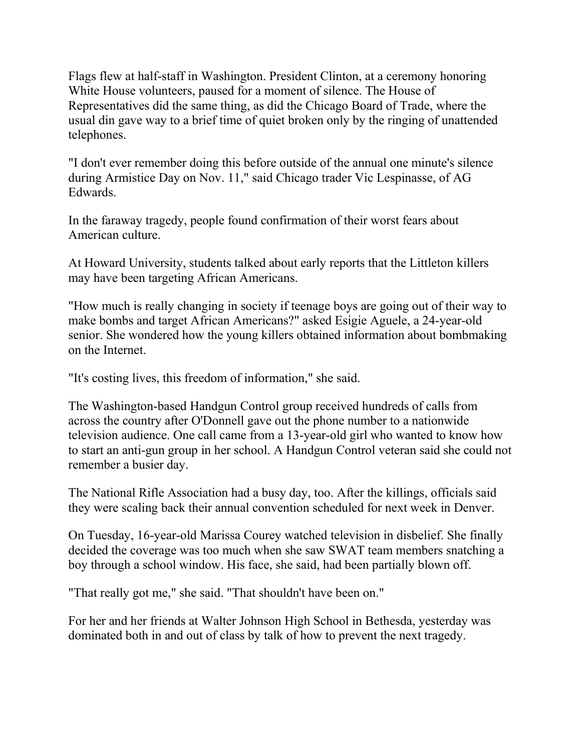Flags flew at half-staff in Washington. President Clinton, at a ceremony honoring White House volunteers, paused for a moment of silence. The House of Representatives did the same thing, as did the Chicago Board of Trade, where the usual din gave way to a brief time of quiet broken only by the ringing of unattended telephones.

"I don't ever remember doing this before outside of the annual one minute's silence during Armistice Day on Nov. 11," said Chicago trader Vic Lespinasse, of AG Edwards.

In the faraway tragedy, people found confirmation of their worst fears about American culture.

At Howard University, students talked about early reports that the Littleton killers may have been targeting African Americans.

"How much is really changing in society if teenage boys are going out of their way to make bombs and target African Americans?" asked Esigie Aguele, a 24-year-old senior. She wondered how the young killers obtained information about bombmaking on the Internet.

"It's costing lives, this freedom of information," she said.

The Washington-based Handgun Control group received hundreds of calls from across the country after O'Donnell gave out the phone number to a nationwide television audience. One call came from a 13-year-old girl who wanted to know how to start an anti-gun group in her school. A Handgun Control veteran said she could not remember a busier day.

The National Rifle Association had a busy day, too. After the killings, officials said they were scaling back their annual convention scheduled for next week in Denver.

On Tuesday, 16-year-old Marissa Courey watched television in disbelief. She finally decided the coverage was too much when she saw SWAT team members snatching a boy through a school window. His face, she said, had been partially blown off.

"That really got me," she said. "That shouldn't have been on."

For her and her friends at Walter Johnson High School in Bethesda, yesterday was dominated both in and out of class by talk of how to prevent the next tragedy.